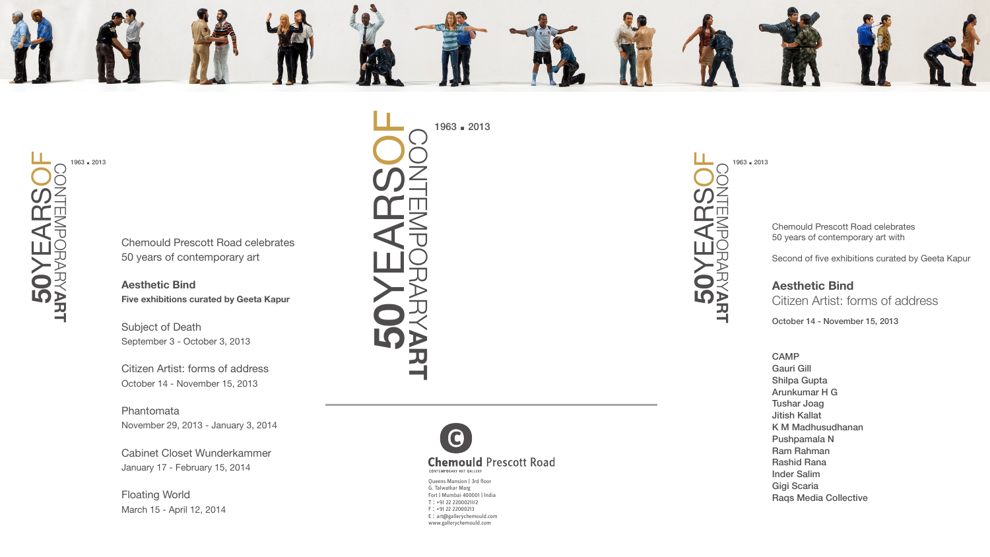1963 **.** <sup>2013</sup>

Chemould Prescott Road celebrates 50 years of contemporary art with

Second of five exhibitions curated by Geeta Kapur

**Aesthetic Bind Five exhibitions curated by Geeta Kapur**  **Aesthetic Bind** Citizen Artist: forms of address

October 14 - November 15, 2013

Chemould Prescott Road celebrates 50 years of contemporary art



Subject of Death September 3 - October 3, 2013

Citizen Artist: forms of address October 14 - November 15, 2013

Phantomata November 29, 2013 - January 3, 2014

Cabinet Closet Wunderkammer January 17 - February 15, 2014

Floating World March 15 - April 12, 2014

1963 **.** <sup>2013</sup>

Queens Mansion | 3rd floor G. Talwatkar Marg Fort | Mumbai 400001 | India T : +91 22 22000211/2 F : +91 22 22000213 E : art@gallerychemould.com www.gallerychemould.com

1963 **.** <sup>2013</sup> **50**YEARSOF CONTEMPORARY**ART**



CAMP Gauri Gill Shilpa Gupta Arunkumar H G Tushar Joag Jitish Kallat K M Madhusudhanan Pushpamala N Ram Rahman Rashid Rana Inder Salim Gigi Scaria Raqs Media Collective